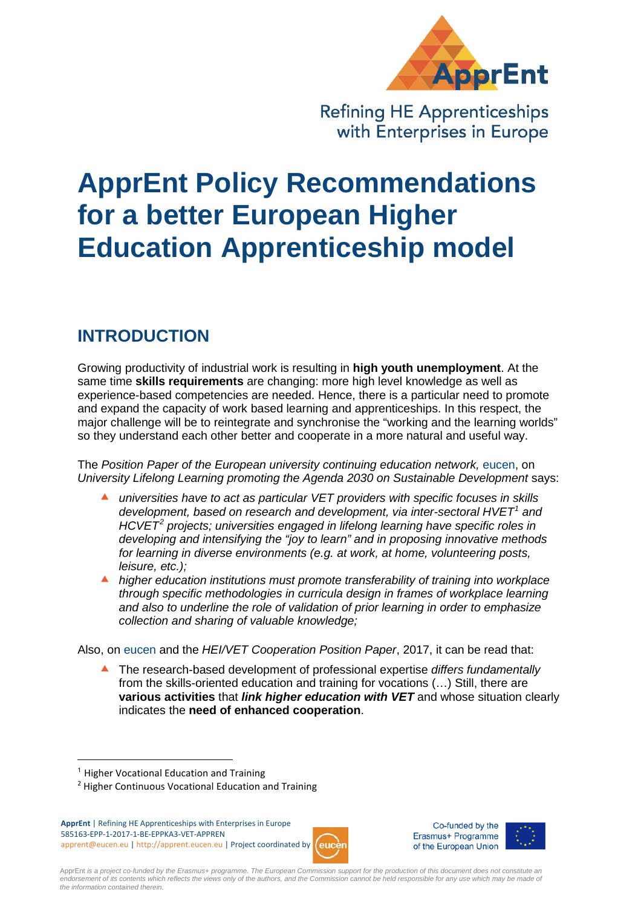

**Refining HE Apprenticeships** with Enterprises in Europe

# **ApprEnt Policy Recommendations for a better European Higher Education Apprenticeship model**

# **INTRODUCTION**

Growing productivity of industrial work is resulting in **high youth unemployment**. At the same time **skills requirements** are changing: more high level knowledge as well as experience-based competencies are needed. Hence, there is a particular need to promote and expand the capacity of work based learning and apprenticeships. In this respect, the major challenge will be to reintegrate and synchronise the "working and the learning worlds" so they understand each other better and cooperate in a more natural and useful way.

The *Position Paper of the European university continuing education network,* eucen, on *University Lifelong Learning promoting the Agenda 2030 on Sustainable Development* says:

- *universities have to act as particular VET providers with specific focuses in skills development, based on research and development, via inter-sectoral HVET[1](#page-0-0) and HCVET[2](#page-0-1) projects; universities engaged in lifelong learning have specific roles in developing and intensifying the "joy to learn" and in proposing innovative methods for learning in diverse environments (e.g. at work, at home, volunteering posts, leisure, etc.);*
- *higher education institutions must promote transferability of training into workplace through specific methodologies in curricula design in frames of workplace learning and also to underline the role of validation of prior learning in order to emphasize collection and sharing of valuable knowledge;*

Also, on eucen and the *HEI/VET Cooperation Position Paper*, 2017, it can be read that:

 The research-based development of professional expertise *differs fundamentally*  from the skills-oriented education and training for vocations (…) Still, there are **various activities** that *link higher education with VET* and whose situation clearly indicates the **need of enhanced cooperation**.

 $\overline{a}$ 

<span id="page-0-1"></span>**ApprEnt** | Refining HE Apprenticeships with Enterprises in Europe 585163-EPP-1-2017-1-BE-EPPKA3-VET-APPREN apprent@eucen.eu | http://apprent.eucen.eu | Project coordinated by







ApprEnt *is a project co-funded by the Erasmus+ programme. The European Commission support for the production of this document does not constitute an*  endorsement of its contents which reflects the views only of the authors, and the Commission cannot be held responsible for any use which may be made of *the information contained therein.*

<span id="page-0-0"></span><sup>&</sup>lt;sup>1</sup> Higher Vocational Education and Training

<sup>2</sup> Higher Continuous Vocational Education and Training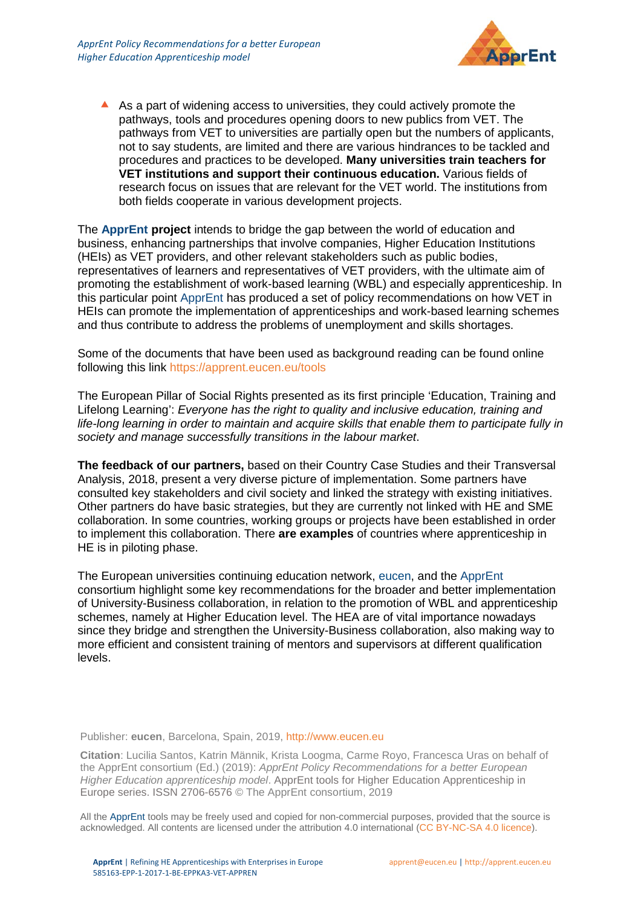

 As a part of widening access to universities, they could actively promote the pathways, tools and procedures opening doors to new publics from VET. The pathways from VET to universities are partially open but the numbers of applicants, not to say students, are limited and there are various hindrances to be tackled and procedures and practices to be developed. **Many universities train teachers for VET institutions and support their continuous education.** Various fields of research focus on issues that are relevant for the VET world. The institutions from both fields cooperate in various development projects.

The **ApprEnt project** intends to bridge the gap between the world of education and business, enhancing partnerships that involve companies, Higher Education Institutions (HEIs) as VET providers, and other relevant stakeholders such as public bodies, representatives of learners and representatives of VET providers, with the ultimate aim of promoting the establishment of work-based learning (WBL) and especially apprenticeship. In this particular point ApprEnt has produced a set of policy recommendations on how VET in HEIs can promote the implementation of apprenticeships and work-based learning schemes and thus contribute to address the problems of unemployment and skills shortages.

Some of the documents that have been used as background reading can be found online following this link<https://apprent.eucen.eu/tools>

The European Pillar of Social Rights presented as its first principle 'Education, Training and Lifelong Learning': *Everyone has the right to quality and inclusive education, training and life-long learning in order to maintain and acquire skills that enable them to participate fully in society and manage successfully transitions in the labour market*.

**The feedback of our partners,** based on their Country Case Studies and their Transversal Analysis, 2018, present a very diverse picture of implementation. Some partners have consulted key stakeholders and civil society and linked the strategy with existing initiatives. Other partners do have basic strategies, but they are currently not linked with HE and SME collaboration. In some countries, working groups or projects have been established in order to implement this collaboration. There **are examples** of countries where apprenticeship in HE is in piloting phase.

The European universities continuing education network, eucen, and the ApprEnt consortium highlight some key recommendations for the broader and better implementation of University-Business collaboration, in relation to the promotion of WBL and apprenticeship schemes, namely at Higher Education level. The HEA are of vital importance nowadays since they bridge and strengthen the University-Business collaboration, also making way to more efficient and consistent training of mentors and supervisors at different qualification levels.

Publisher: **eucen**, Barcelona, Spain, 2019, [http://www.eucen.eu](http://www.eucen.eu/)

**Citation**: Lucilia Santos, Katrin Männik, Krista Loogma, Carme Royo, Francesca Uras on behalf of the ApprEnt consortium (Ed.) (2019): *ApprEnt Policy Recommendations for a better European Higher Education apprenticeship model*. ApprEnt tools for Higher Education Apprenticeship in Europe series. ISSN 2706-6576 © The ApprEnt consortium, 2019

All the ApprEnt tools may be freely used and copied for non-commercial purposes, provided that the source is acknowledged. All contents are licensed under the attribution 4.0 international (CC [BY-NC-SA](https://creativecommons.org/licenses/by-nc-sa/4.0/) 4.0 licence).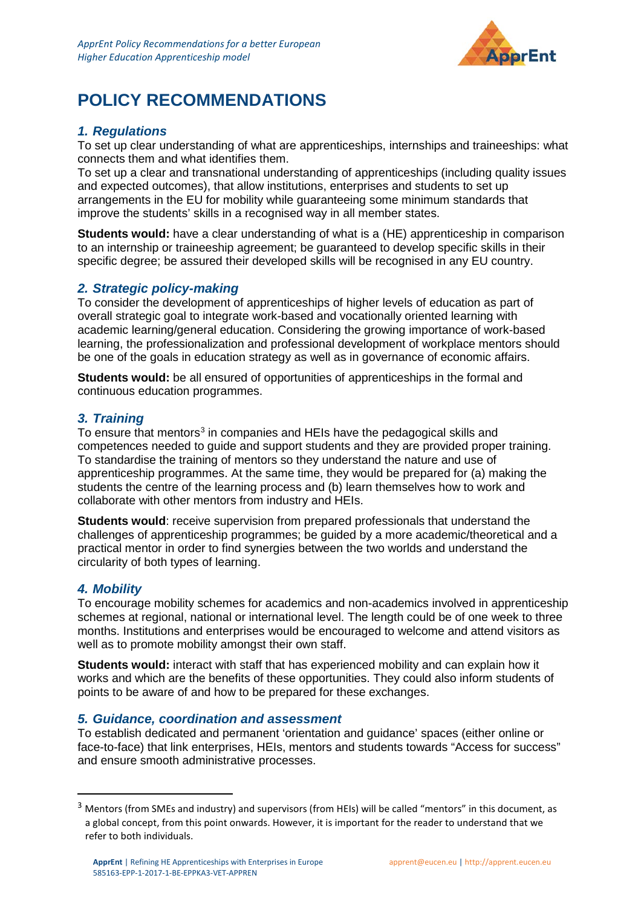

# **POLICY RECOMMENDATIONS**

# *1. Regulations*

To set up clear understanding of what are apprenticeships, internships and traineeships: what connects them and what identifies them.

To set up a clear and transnational understanding of apprenticeships (including quality issues and expected outcomes), that allow institutions, enterprises and students to set up arrangements in the EU for mobility while guaranteeing some minimum standards that improve the students' skills in a recognised way in all member states.

**Students would:** have a clear understanding of what is a (HE) apprenticeship in comparison to an internship or traineeship agreement; be guaranteed to develop specific skills in their specific degree; be assured their developed skills will be recognised in any EU country.

# *2. Strategic policy-making*

To consider the development of apprenticeships of higher levels of education as part of overall strategic goal to integrate work-based and vocationally oriented learning with academic learning/general education. Considering the growing importance of work-based learning, the professionalization and professional development of workplace mentors should be one of the goals in education strategy as well as in governance of economic affairs.

**Students would:** be all ensured of opportunities of apprenticeships in the formal and continuous education programmes.

# *3. Training*

To ensure that mentors<sup>[3](#page-2-0)</sup> in companies and HEIs have the pedagogical skills and competences needed to guide and support students and they are provided proper training. To standardise the training of mentors so they understand the nature and use of apprenticeship programmes. At the same time, they would be prepared for (a) making the students the centre of the learning process and (b) learn themselves how to work and collaborate with other mentors from industry and HEIs.

**Students would:** receive supervision from prepared professionals that understand the challenges of apprenticeship programmes; be guided by a more academic/theoretical and a practical mentor in order to find synergies between the two worlds and understand the circularity of both types of learning.

# *4. Mobility*

To encourage mobility schemes for academics and non-academics involved in apprenticeship schemes at regional, national or international level. The length could be of one week to three months. Institutions and enterprises would be encouraged to welcome and attend visitors as well as to promote mobility amongst their own staff.

**Students would:** interact with staff that has experienced mobility and can explain how it works and which are the benefits of these opportunities. They could also inform students of points to be aware of and how to be prepared for these exchanges.

#### *5. Guidance, coordination and assessment*

To establish dedicated and permanent 'orientation and guidance' spaces (either online or face-to-face) that link enterprises, HEIs, mentors and students towards "Access for success" and ensure smooth administrative processes.

<span id="page-2-0"></span><sup>&</sup>lt;sup>3</sup> Mentors (from SMEs and industry) and supervisors (from HEIs) will be called "mentors" in this document, as a global concept, from this point onwards. However, it is important for the reader to understand that we refer to both individuals.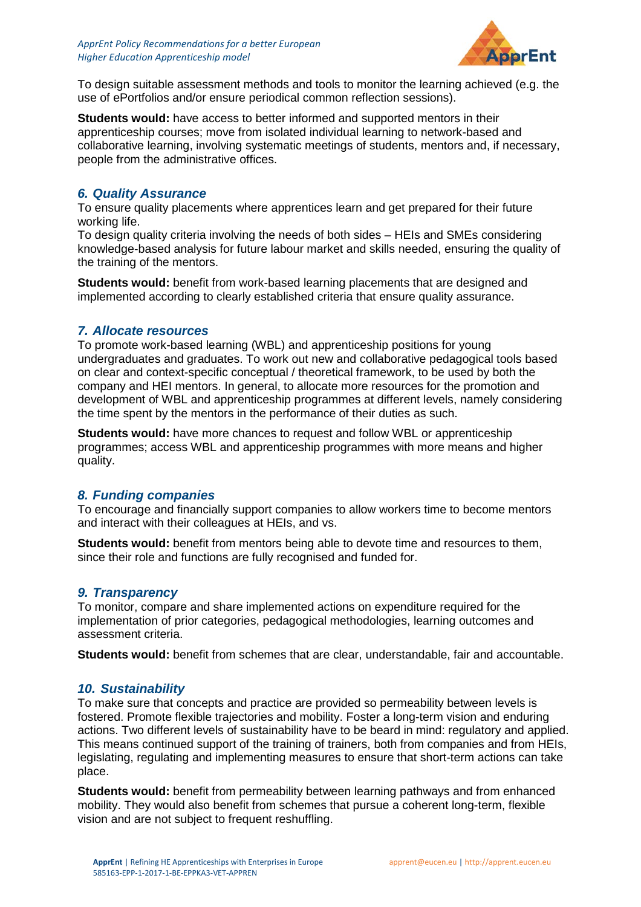

To design suitable assessment methods and tools to monitor the learning achieved (e.g. the use of ePortfolios and/or ensure periodical common reflection sessions).

**Students would:** have access to better informed and supported mentors in their apprenticeship courses; move from isolated individual learning to network-based and collaborative learning, involving systematic meetings of students, mentors and, if necessary, people from the administrative offices.

# *6. Quality Assurance*

To ensure quality placements where apprentices learn and get prepared for their future working life.

To design quality criteria involving the needs of both sides – HEIs and SMEs considering knowledge-based analysis for future labour market and skills needed, ensuring the quality of the training of the mentors.

**Students would:** benefit from work-based learning placements that are designed and implemented according to clearly established criteria that ensure quality assurance.

# *7. Allocate resources*

To promote work-based learning (WBL) and apprenticeship positions for young undergraduates and graduates. To work out new and collaborative pedagogical tools based on clear and context-specific conceptual / theoretical framework, to be used by both the company and HEI mentors. In general, to allocate more resources for the promotion and development of WBL and apprenticeship programmes at different levels, namely considering the time spent by the mentors in the performance of their duties as such.

**Students would:** have more chances to request and follow WBL or apprenticeship programmes; access WBL and apprenticeship programmes with more means and higher quality.

# *8. Funding companies*

To encourage and financially support companies to allow workers time to become mentors and interact with their colleagues at HEIs, and vs.

**Students would:** benefit from mentors being able to devote time and resources to them, since their role and functions are fully recognised and funded for.

# *9. Transparency*

To monitor, compare and share implemented actions on expenditure required for the implementation of prior categories, pedagogical methodologies, learning outcomes and assessment criteria.

**Students would:** benefit from schemes that are clear, understandable, fair and accountable.

# *10. Sustainability*

To make sure that concepts and practice are provided so permeability between levels is fostered. Promote flexible trajectories and mobility. Foster a long-term vision and enduring actions. Two different levels of sustainability have to be beard in mind: regulatory and applied. This means continued support of the training of trainers, both from companies and from HEIs, legislating, regulating and implementing measures to ensure that short-term actions can take place.

**Students would:** benefit from permeability between learning pathways and from enhanced mobility. They would also benefit from schemes that pursue a coherent long-term, flexible vision and are not subject to frequent reshuffling.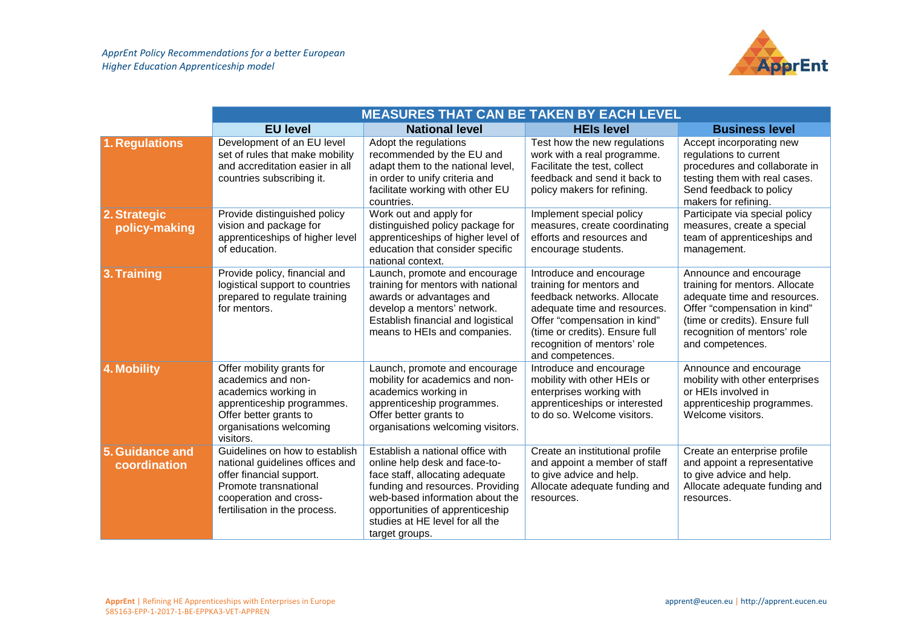

|                                 | <b>MEASURES THAT CAN BE TAKEN BY EACH LEVEL</b>                                                                                                                                   |                                                                                                                                                                                                                                                                     |                                                                                                                                                                                                                                          |                                                                                                                                                                                                                |  |  |
|---------------------------------|-----------------------------------------------------------------------------------------------------------------------------------------------------------------------------------|---------------------------------------------------------------------------------------------------------------------------------------------------------------------------------------------------------------------------------------------------------------------|------------------------------------------------------------------------------------------------------------------------------------------------------------------------------------------------------------------------------------------|----------------------------------------------------------------------------------------------------------------------------------------------------------------------------------------------------------------|--|--|
|                                 | <b>EU level</b>                                                                                                                                                                   | <b>National level</b>                                                                                                                                                                                                                                               | <b>HEIs level</b>                                                                                                                                                                                                                        | <b>Business level</b>                                                                                                                                                                                          |  |  |
| 1. Regulations                  | Development of an EU level<br>set of rules that make mobility<br>and accreditation easier in all<br>countries subscribing it.                                                     | Adopt the regulations<br>recommended by the EU and<br>adapt them to the national level,<br>in order to unify criteria and<br>facilitate working with other EU<br>countries.                                                                                         | Test how the new regulations<br>work with a real programme.<br>Facilitate the test, collect<br>feedback and send it back to<br>policy makers for refining.                                                                               | Accept incorporating new<br>regulations to current<br>procedures and collaborate in<br>testing them with real cases.<br>Send feedback to policy<br>makers for refining.                                        |  |  |
| 2. Strategic<br>policy-making   | Provide distinguished policy<br>vision and package for<br>apprenticeships of higher level<br>of education.                                                                        | Work out and apply for<br>distinguished policy package for<br>apprenticeships of higher level of<br>education that consider specific<br>national context.                                                                                                           | Implement special policy<br>measures, create coordinating<br>efforts and resources and<br>encourage students.                                                                                                                            | Participate via special policy<br>measures, create a special<br>team of apprenticeships and<br>management.                                                                                                     |  |  |
| 3. Training                     | Provide policy, financial and<br>logistical support to countries<br>prepared to regulate training<br>for mentors.                                                                 | Launch, promote and encourage<br>training for mentors with national<br>awards or advantages and<br>develop a mentors' network.<br>Establish financial and logistical<br>means to HEIs and companies.                                                                | Introduce and encourage<br>training for mentors and<br>feedback networks. Allocate<br>adequate time and resources.<br>Offer "compensation in kind"<br>(time or credits). Ensure full<br>recognition of mentors' role<br>and competences. | Announce and encourage<br>training for mentors. Allocate<br>adequate time and resources.<br>Offer "compensation in kind"<br>(time or credits). Ensure full<br>recognition of mentors' role<br>and competences. |  |  |
| <b>4. Mobility</b>              | Offer mobility grants for<br>academics and non-<br>academics working in<br>apprenticeship programmes.<br>Offer better grants to<br>organisations welcoming<br>visitors.           | Launch, promote and encourage<br>mobility for academics and non-<br>academics working in<br>apprenticeship programmes.<br>Offer better grants to<br>organisations welcoming visitors.                                                                               | Introduce and encourage<br>mobility with other HEIs or<br>enterprises working with<br>apprenticeships or interested<br>to do so. Welcome visitors.                                                                                       | Announce and encourage<br>mobility with other enterprises<br>or HEIs involved in<br>apprenticeship programmes.<br>Welcome visitors.                                                                            |  |  |
| 5. Guidance and<br>coordination | Guidelines on how to establish<br>national guidelines offices and<br>offer financial support.<br>Promote transnational<br>cooperation and cross-<br>fertilisation in the process. | Establish a national office with<br>online help desk and face-to-<br>face staff, allocating adequate<br>funding and resources. Providing<br>web-based information about the<br>opportunities of apprenticeship<br>studies at HE level for all the<br>target groups. | Create an institutional profile<br>and appoint a member of staff<br>to give advice and help.<br>Allocate adequate funding and<br>resources.                                                                                              | Create an enterprise profile<br>and appoint a representative<br>to give advice and help.<br>Allocate adequate funding and<br>resources.                                                                        |  |  |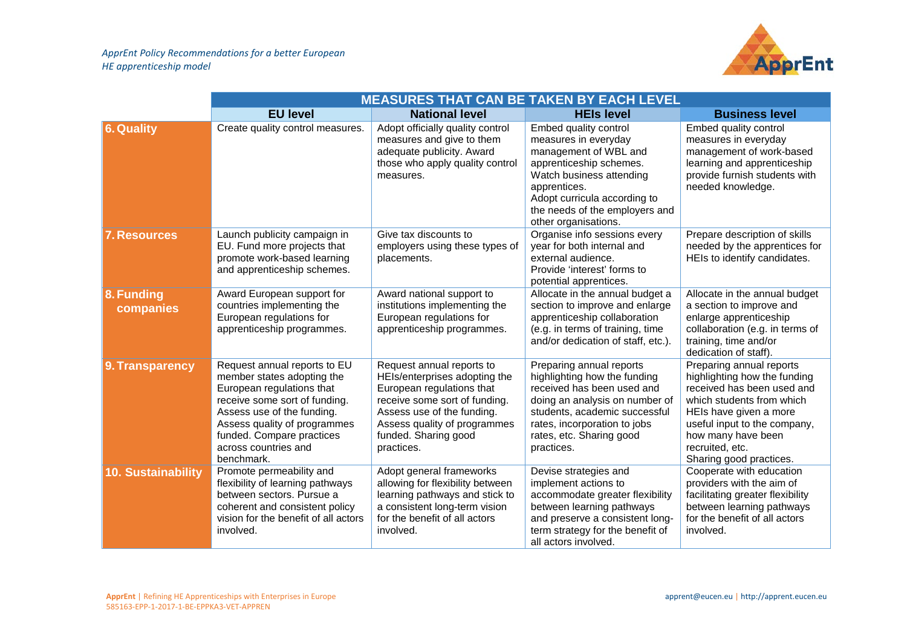

|                           | <b>MEASURES THAT CAN BE TAKEN BY EACH LEVEL</b>                                                                                                                                                                                                           |                                                                                                                                                                                                                              |                                                                                                                                                                                                                                         |                                                                                                                                                                                                                                                   |  |  |
|---------------------------|-----------------------------------------------------------------------------------------------------------------------------------------------------------------------------------------------------------------------------------------------------------|------------------------------------------------------------------------------------------------------------------------------------------------------------------------------------------------------------------------------|-----------------------------------------------------------------------------------------------------------------------------------------------------------------------------------------------------------------------------------------|---------------------------------------------------------------------------------------------------------------------------------------------------------------------------------------------------------------------------------------------------|--|--|
|                           | <b>EU level</b>                                                                                                                                                                                                                                           | <b>National level</b>                                                                                                                                                                                                        | <b>HEIs level</b>                                                                                                                                                                                                                       | <b>Business level</b>                                                                                                                                                                                                                             |  |  |
| 6. Quality                | Create quality control measures.                                                                                                                                                                                                                          | Adopt officially quality control<br>measures and give to them<br>adequate publicity. Award<br>those who apply quality control<br>measures.                                                                                   | Embed quality control<br>measures in everyday<br>management of WBL and<br>apprenticeship schemes.<br>Watch business attending<br>apprentices.<br>Adopt curricula according to<br>the needs of the employers and<br>other organisations. | Embed quality control<br>measures in everyday<br>management of work-based<br>learning and apprenticeship<br>provide furnish students with<br>needed knowledge.                                                                                    |  |  |
| <b>7. Resources</b>       | Launch publicity campaign in<br>EU. Fund more projects that<br>promote work-based learning<br>and apprenticeship schemes.                                                                                                                                 | Give tax discounts to<br>employers using these types of<br>placements.                                                                                                                                                       | Organise info sessions every<br>year for both internal and<br>external audience.<br>Provide 'interest' forms to<br>potential apprentices.                                                                                               | Prepare description of skills<br>needed by the apprentices for<br>HEIs to identify candidates.                                                                                                                                                    |  |  |
| 8. Funding<br>companies   | Award European support for<br>countries implementing the<br>European regulations for<br>apprenticeship programmes.                                                                                                                                        | Award national support to<br>institutions implementing the<br>European regulations for<br>apprenticeship programmes.                                                                                                         | Allocate in the annual budget a<br>section to improve and enlarge<br>apprenticeship collaboration<br>(e.g. in terms of training, time<br>and/or dedication of staff, etc.).                                                             | Allocate in the annual budget<br>a section to improve and<br>enlarge apprenticeship<br>collaboration (e.g. in terms of<br>training, time and/or<br>dedication of staff).                                                                          |  |  |
| 9. Transparency           | Request annual reports to EU<br>member states adopting the<br>European regulations that<br>receive some sort of funding.<br>Assess use of the funding.<br>Assess quality of programmes<br>funded. Compare practices<br>across countries and<br>benchmark. | Request annual reports to<br>HEIs/enterprises adopting the<br>European regulations that<br>receive some sort of funding.<br>Assess use of the funding.<br>Assess quality of programmes<br>funded. Sharing good<br>practices. | Preparing annual reports<br>highlighting how the funding<br>received has been used and<br>doing an analysis on number of<br>students, academic successful<br>rates, incorporation to jobs<br>rates, etc. Sharing good<br>practices.     | Preparing annual reports<br>highlighting how the funding<br>received has been used and<br>which students from which<br>HEIs have given a more<br>useful input to the company,<br>how many have been<br>recruited, etc.<br>Sharing good practices. |  |  |
| <b>10. Sustainability</b> | Promote permeability and<br>flexibility of learning pathways<br>between sectors. Pursue a<br>coherent and consistent policy<br>vision for the benefit of all actors<br>involved.                                                                          | Adopt general frameworks<br>allowing for flexibility between<br>learning pathways and stick to<br>a consistent long-term vision<br>for the benefit of all actors<br>involved.                                                | Devise strategies and<br>implement actions to<br>accommodate greater flexibility<br>between learning pathways<br>and preserve a consistent long-<br>term strategy for the benefit of<br>all actors involved.                            | Cooperate with education<br>providers with the aim of<br>facilitating greater flexibility<br>between learning pathways<br>for the benefit of all actors<br>involved.                                                                              |  |  |